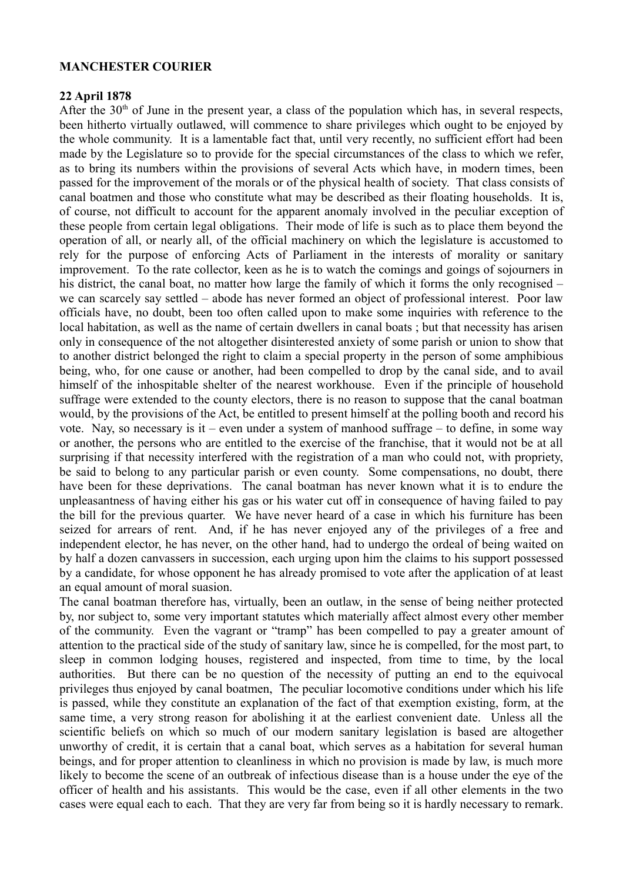## **MANCHESTER COURIER**

## **22 April 1878**

After the  $30<sup>th</sup>$  of June in the present year, a class of the population which has, in several respects, been hitherto virtually outlawed, will commence to share privileges which ought to be enjoyed by the whole community. It is a lamentable fact that, until very recently, no sufficient effort had been made by the Legislature so to provide for the special circumstances of the class to which we refer, as to bring its numbers within the provisions of several Acts which have, in modern times, been passed for the improvement of the morals or of the physical health of society. That class consists of canal boatmen and those who constitute what may be described as their floating households. It is, of course, not difficult to account for the apparent anomaly involved in the peculiar exception of these people from certain legal obligations. Their mode of life is such as to place them beyond the operation of all, or nearly all, of the official machinery on which the legislature is accustomed to rely for the purpose of enforcing Acts of Parliament in the interests of morality or sanitary improvement. To the rate collector, keen as he is to watch the comings and goings of sojourners in his district, the canal boat, no matter how large the family of which it forms the only recognised – we can scarcely say settled – abode has never formed an object of professional interest. Poor law officials have, no doubt, been too often called upon to make some inquiries with reference to the local habitation, as well as the name of certain dwellers in canal boats ; but that necessity has arisen only in consequence of the not altogether disinterested anxiety of some parish or union to show that to another district belonged the right to claim a special property in the person of some amphibious being, who, for one cause or another, had been compelled to drop by the canal side, and to avail himself of the inhospitable shelter of the nearest workhouse. Even if the principle of household suffrage were extended to the county electors, there is no reason to suppose that the canal boatman would, by the provisions of the Act, be entitled to present himself at the polling booth and record his vote. Nay, so necessary is it – even under a system of manhood suffrage – to define, in some way or another, the persons who are entitled to the exercise of the franchise, that it would not be at all surprising if that necessity interfered with the registration of a man who could not, with propriety, be said to belong to any particular parish or even county. Some compensations, no doubt, there have been for these deprivations. The canal boatman has never known what it is to endure the unpleasantness of having either his gas or his water cut off in consequence of having failed to pay the bill for the previous quarter. We have never heard of a case in which his furniture has been seized for arrears of rent. And, if he has never enjoyed any of the privileges of a free and independent elector, he has never, on the other hand, had to undergo the ordeal of being waited on by half a dozen canvassers in succession, each urging upon him the claims to his support possessed by a candidate, for whose opponent he has already promised to vote after the application of at least an equal amount of moral suasion.

The canal boatman therefore has, virtually, been an outlaw, in the sense of being neither protected by, nor subject to, some very important statutes which materially affect almost every other member of the community. Even the vagrant or "tramp" has been compelled to pay a greater amount of attention to the practical side of the study of sanitary law, since he is compelled, for the most part, to sleep in common lodging houses, registered and inspected, from time to time, by the local authorities. But there can be no question of the necessity of putting an end to the equivocal privileges thus enjoyed by canal boatmen, The peculiar locomotive conditions under which his life is passed, while they constitute an explanation of the fact of that exemption existing, form, at the same time, a very strong reason for abolishing it at the earliest convenient date. Unless all the scientific beliefs on which so much of our modern sanitary legislation is based are altogether unworthy of credit, it is certain that a canal boat, which serves as a habitation for several human beings, and for proper attention to cleanliness in which no provision is made by law, is much more likely to become the scene of an outbreak of infectious disease than is a house under the eye of the officer of health and his assistants. This would be the case, even if all other elements in the two cases were equal each to each. That they are very far from being so it is hardly necessary to remark.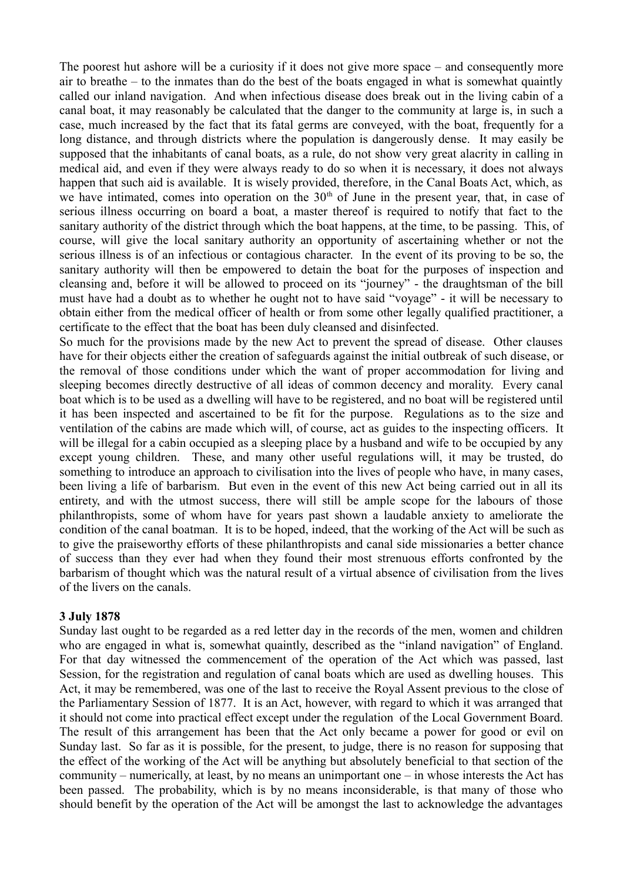The poorest hut ashore will be a curiosity if it does not give more space – and consequently more air to breathe – to the inmates than do the best of the boats engaged in what is somewhat quaintly called our inland navigation. And when infectious disease does break out in the living cabin of a canal boat, it may reasonably be calculated that the danger to the community at large is, in such a case, much increased by the fact that its fatal germs are conveyed, with the boat, frequently for a long distance, and through districts where the population is dangerously dense. It may easily be supposed that the inhabitants of canal boats, as a rule, do not show very great alacrity in calling in medical aid, and even if they were always ready to do so when it is necessary, it does not always happen that such aid is available. It is wisely provided, therefore, in the Canal Boats Act, which, as we have intimated, comes into operation on the  $30<sup>th</sup>$  of June in the present year, that, in case of serious illness occurring on board a boat, a master thereof is required to notify that fact to the sanitary authority of the district through which the boat happens, at the time, to be passing. This, of course, will give the local sanitary authority an opportunity of ascertaining whether or not the serious illness is of an infectious or contagious character. In the event of its proving to be so, the sanitary authority will then be empowered to detain the boat for the purposes of inspection and cleansing and, before it will be allowed to proceed on its "journey" - the draughtsman of the bill must have had a doubt as to whether he ought not to have said "voyage" - it will be necessary to obtain either from the medical officer of health or from some other legally qualified practitioner, a certificate to the effect that the boat has been duly cleansed and disinfected.

So much for the provisions made by the new Act to prevent the spread of disease. Other clauses have for their objects either the creation of safeguards against the initial outbreak of such disease, or the removal of those conditions under which the want of proper accommodation for living and sleeping becomes directly destructive of all ideas of common decency and morality. Every canal boat which is to be used as a dwelling will have to be registered, and no boat will be registered until it has been inspected and ascertained to be fit for the purpose. Regulations as to the size and ventilation of the cabins are made which will, of course, act as guides to the inspecting officers. It will be illegal for a cabin occupied as a sleeping place by a husband and wife to be occupied by any except young children. These, and many other useful regulations will, it may be trusted, do something to introduce an approach to civilisation into the lives of people who have, in many cases, been living a life of barbarism. But even in the event of this new Act being carried out in all its entirety, and with the utmost success, there will still be ample scope for the labours of those philanthropists, some of whom have for years past shown a laudable anxiety to ameliorate the condition of the canal boatman. It is to be hoped, indeed, that the working of the Act will be such as to give the praiseworthy efforts of these philanthropists and canal side missionaries a better chance of success than they ever had when they found their most strenuous efforts confronted by the barbarism of thought which was the natural result of a virtual absence of civilisation from the lives of the livers on the canals.

## **3 July 1878**

Sunday last ought to be regarded as a red letter day in the records of the men, women and children who are engaged in what is, somewhat quaintly, described as the "inland navigation" of England. For that day witnessed the commencement of the operation of the Act which was passed, last Session, for the registration and regulation of canal boats which are used as dwelling houses. This Act, it may be remembered, was one of the last to receive the Royal Assent previous to the close of the Parliamentary Session of 1877. It is an Act, however, with regard to which it was arranged that it should not come into practical effect except under the regulation of the Local Government Board. The result of this arrangement has been that the Act only became a power for good or evil on Sunday last. So far as it is possible, for the present, to judge, there is no reason for supposing that the effect of the working of the Act will be anything but absolutely beneficial to that section of the community – numerically, at least, by no means an unimportant one – in whose interests the Act has been passed. The probability, which is by no means inconsiderable, is that many of those who should benefit by the operation of the Act will be amongst the last to acknowledge the advantages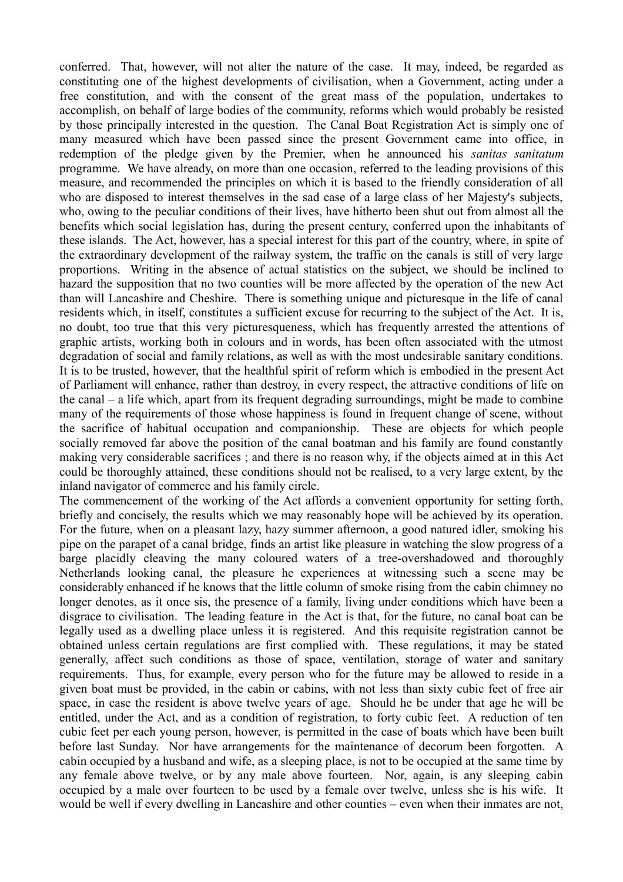conferred. That, however, will not alter the nature of the case. It may, indeed, be regarded as constituting one of the highest developments of civilisation, when a Government, acting under a free constitution, and with the consent of the great mass of the population, undertakes to accomplish, on behalf of large bodies of the community, reforms which would probably be resisted by those principally interested in the question. The Canal Boat Registration Act is simply one of many measured which have been passed since the present Government came into office, in redemption of the pledge given by the Premier, when he announced his *sanitas sanitatum* programme. We have already, on more than one occasion, referred to the leading provisions of this measure, and recommended the principles on which it is based to the friendly consideration of all who are disposed to interest themselves in the sad case of a large class of her Majesty's subjects, who, owing to the peculiar conditions of their lives, have hitherto been shut out from almost all the benefits which social legislation has, during the present century, conferred upon the inhabitants of these islands. The Act, however, has a special interest for this part of the country, where, in spite of the extraordinary development of the railway system, the traffic on the canals is still of very large proportions. Writing in the absence of actual statistics on the subject, we should be inclined to hazard the supposition that no two counties will be more affected by the operation of the new Act than will Lancashire and Cheshire. There is something unique and picturesque in the life of canal residents which, in itself, constitutes a sufficient excuse for recurring to the subject of the Act. It is, no doubt, too true that this very picturesqueness, which has frequently arrested the attentions of graphic artists, working both in colours and in words, has been often associated with the utmost degradation of social and family relations, as well as with the most undesirable sanitary conditions. It is to be trusted, however, that the healthful spirit of reform which is embodied in the present Act of Parliament will enhance, rather than destroy, in every respect, the attractive conditions of life on the canal – a life which, apart from its frequent degrading surroundings, might be made to combine many of the requirements of those whose happiness is found in frequent change of scene, without the sacrifice of habitual occupation and companionship. These are objects for which people socially removed far above the position of the canal boatman and his family are found constantly making very considerable sacrifices ; and there is no reason why, if the objects aimed at in this Act could be thoroughly attained, these conditions should not be realised, to a very large extent, by the inland navigator of commerce and his family circle.

The commencement of the working of the Act affords a convenient opportunity for setting forth, briefly and concisely, the results which we may reasonably hope will be achieved by its operation. For the future, when on a pleasant lazy, hazy summer afternoon, a good natured idler, smoking his pipe on the parapet of a canal bridge, finds an artist like pleasure in watching the slow progress of a barge placidly cleaving the many coloured waters of a tree-overshadowed and thoroughly Netherlands looking canal, the pleasure he experiences at witnessing such a scene may be considerably enhanced if he knows that the little column of smoke rising from the cabin chimney no longer denotes, as it once sis, the presence of a family, living under conditions which have been a disgrace to civilisation. The leading feature in the Act is that, for the future, no canal boat can be legally used as a dwelling place unless it is registered. And this requisite registration cannot be obtained unless certain regulations are first complied with. These regulations, it may be stated generally, affect such conditions as those of space, ventilation, storage of water and sanitary requirements. Thus, for example, every person who for the future may be allowed to reside in a given boat must be provided, in the cabin or cabins, with not less than sixty cubic feet of free air space, in case the resident is above twelve years of age. Should he be under that age he will be entitled, under the Act, and as a condition of registration, to forty cubic feet. A reduction of ten cubic feet per each young person, however, is permitted in the case of boats which have been built before last Sunday. Nor have arrangements for the maintenance of decorum been forgotten. A cabin occupied by a husband and wife, as a sleeping place, is not to be occupied at the same time by any female above twelve, or by any male above fourteen. Nor, again, is any sleeping cabin occupied by a male over fourteen to be used by a female over twelve, unless she is his wife. It would be well if every dwelling in Lancashire and other counties – even when their inmates are not,